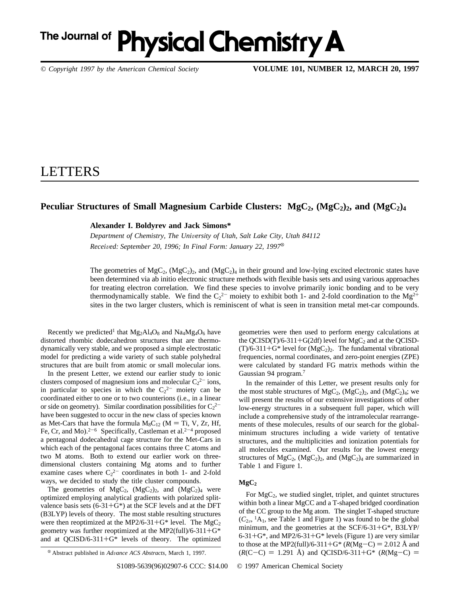# The Journal of Physical Chemistry A

*© Copyright 1997 by the American Chemical Society* **VOLUME 101, NUMBER 12, MARCH 20, 1997**

## LETTERS

### Peculiar Structures of Small Magnesium Carbide Clusters: MgC<sub>2</sub>, (MgC<sub>2</sub>)<sub>2</sub>, and (MgC<sub>2</sub>)<sub>4</sub>

**Alexander I. Boldyrev and Jack Simons\***

*Department of Chemistry, The Uni*V*ersity of Utah, Salt Lake City, Utah 84112 Received: September 20, 1996; In Final Form: January 22, 1997*<sup>8</sup>

The geometries of  $MgC_2$ ,  $(MgC_2)_2$ , and  $(MgC_2)_4$  in their ground and low-lying excited electronic states have been determined via ab initio electronic structure methods with flexible basis sets and using various approaches for treating electron correlation. We find these species to involve primarily ionic bonding and to be very thermodynamically stable. We find the  $C_2^2$  moiety to exhibit both 1- and 2-fold coordination to the Mg<sup>2+</sup> sites in the two larger clusters, which is reminiscent of what is seen in transition metal met-car compounds.

Recently we predicted<sup>1</sup> that  $Mg_2Al_4O_8$  and  $Na_4Mg_4O_6$  have distorted rhombic dodecahedron structures that are thermodynamically very stable, and we proposed a simple electrostatic model for predicting a wide variety of such stable polyhedral structures that are built from atomic or small molecular ions.

In the present Letter, we extend our earlier study to ionic clusters composed of magnesium ions and molecular  $C_2^2$  ions, in particular to species in which the  $C_2^2$  moiety can be coordinated either to one or to two counterions (i.e., in a linear or side on geometry). Similar coordination possibilities for  $C_2^2$ <sup>-</sup> have been suggested to occur in the new class of species known as Met-Cars that have the formula  $M_8C_{12}$  (M = Ti, V, Zr, Hf, Fe, Cr, and Mo).<sup>2-6</sup> Specifically, Castleman et al.<sup>2-4</sup> proposed a pentagonal dodecahedral cage structure for the Met-Cars in which each of the pentagonal faces contains three C atoms and two M atoms. Both to extend our earlier work on threedimensional clusters containing Mg atoms and to further examine cases where  $C_2^2$  coordinates in both 1- and 2-fold ways, we decided to study the title cluster compounds.

The geometries of  $MgC_2$ ,  $(MgC_2)_2$ , and  $(MgC_2)_4$  were optimized employing analytical gradients with polarized splitvalence basis sets  $(6-31+G^*)$  at the SCF levels and at the DFT (B3LYP) levels of theory. The most stable resulting structures were then reoptimized at the MP2/6-31+G\* level. The  $MgC_2$ geometry was further reoptimized at the MP2(full)/6-311+G\* and at QCISD/6-311+G\* levels of theory. The optimized geometries were then used to perform energy calculations at the QCISD(T)/6-311+G(2df) level for  $MgC_2$  and at the QCISD- $(T)/6-311+G^*$  level for  $(MgC_2)_2$ . The fundamental vibrational frequencies, normal coordinates, and zero-point energies (ZPE) were calculated by standard FG matrix methods within the Gaussian 94 program.7

In the remainder of this Letter, we present results only for the most stable structures of  $MgC_2$ ,  $(MgC_2)_2$ , and  $(MgC_2)_4$ ; we will present the results of our extensive investigations of other low-energy structures in a subsequent full paper, which will include a comprehensive study of the intramolecular rearrangements of these molecules, results of our search for the globalminimum structures including a wide variety of tentative structures, and the multiplicities and ionization potentials for all molecules examined. Our results for the lowest energy structures of  $MgC_2$ ,  $(MgC_2)_2$ , and  $(MgC_2)_4$  are summarized in Table 1 and Figure 1.

#### $MgC_2$

For MgC2, we studied singlet, triplet, and quintet structures within both a linear MgCC and a T-shaped bridged coordination of the CC group to the Mg atom. The singlet T-shaped structure  $(C_{2v}$ , <sup>1</sup>A<sub>1</sub>, see Table 1 and Figure 1) was found to be the global minimum, and the geometries at the SCF/6-31+G\*, B3LYP/  $6-31+G^*$ , and MP2/6-31+ $G^*$  levels (Figure 1) are very similar to those at the MP2(full)/6-311+G<sup>\*</sup> ( $R(Mg-C) = 2.012$  Å and  $\&$  Abstract published in *Advance ACS Abstracts*, March 1, 1997. (*R*(C-C) = 1.291 Å) and QCISD/6-311+G\* (*R*(Mg-C) =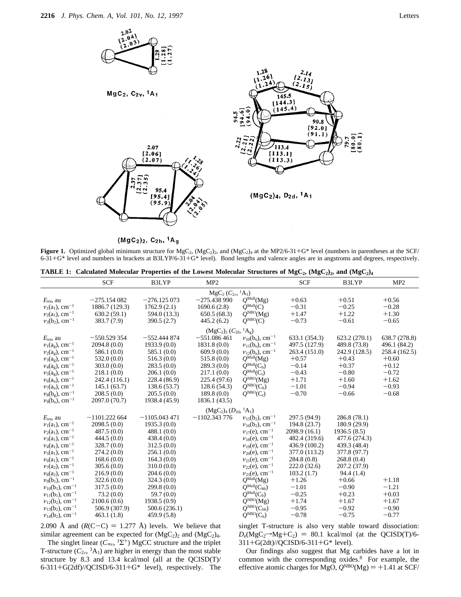

 $(MgC_2)_2$ ,  $C_{2h}$ , <sup>1</sup>A<sub>g</sub>

**Figure 1.** Optimized global minimum structure for  $MgC_2$ ,  $(MgC_2)_2$ , and  $(MgC_2)_4$  at the MP2/6-31+G\* level (numbers in parentheses at the SCF/ 6-31+G\* level and numbers in brackets at B3LYP/6-31+G\* level). Bond lengths and valence angles are in angstroms and degrees, respectively.

|  |  | TABLE 1: Calculated Molecular Properties of the Lowest Molecular Structures of MgC <sub>2</sub> , (MgC <sub>2</sub> ) <sub>2</sub> , and (MgC <sub>2</sub> ) <sub>4</sub> |  |  |  |  |
|--|--|---------------------------------------------------------------------------------------------------------------------------------------------------------------------------|--|--|--|--|
|--|--|---------------------------------------------------------------------------------------------------------------------------------------------------------------------------|--|--|--|--|

|                                              | <b>SCF</b>     | B3LYP          | MP <sub>2</sub> |                                              | <b>SCF</b>    | B3LYP         | MP2           |  |  |  |  |  |
|----------------------------------------------|----------------|----------------|-----------------|----------------------------------------------|---------------|---------------|---------------|--|--|--|--|--|
| $MgC_2(C_{2\nu}, {}^{1}A_1)$                 |                |                |                 |                                              |               |               |               |  |  |  |  |  |
| $E_{\text{tot}}$ , au                        | $-275.154082$  | $-276.125073$  | $-275.438990$   | $Q^{\text{Mul}}(\text{Mg})$                  | $+0.63$       | $+0.51$       | $+0.56$       |  |  |  |  |  |
| $v_1(a_1)$ , cm <sup>-1</sup>                | 1886.7 (129.3) | 1762.9(2.1)    | 1690.6(2.8)     | $O^{\text{Mul}}(C)$                          | $-0.31$       | $-0.25$       | $-0.28$       |  |  |  |  |  |
| $v_2(a_1)$ , cm <sup>-1</sup>                | 630.2(59.1)    | 594.0 (13.3)   | 650.5(68.3)     | $Q^{\text{NBO}}(\text{Mg})$                  | $+1.47$       | $+1.22$       | $+1.30$       |  |  |  |  |  |
| $v_3(b_2)$ , cm <sup>-1</sup>                | 383.7 (7.9)    | 390.5(2.7)     | 445.2(6.2)      | $\tilde{Q}^{\text{NBO}}(C)$                  | $-0.73$       | $-0.61$       | $-0.65$       |  |  |  |  |  |
| $(MgC_2)_2 (C_{2h}, {}^{1}A_g)$              |                |                |                 |                                              |               |               |               |  |  |  |  |  |
| $E_{\text{tot}}$ , au                        | $-550.529354$  | $-552.444874$  | $-551.086461$   | $v_{10}(b_u)$ , cm <sup>-1</sup>             | 633.1 (354.3) | 623.2 (270.1) | 638.7 (278.8) |  |  |  |  |  |
| $v_1(a_g)$ , cm <sup>-1</sup>                | 2094.8(0.0)    | 1933.9(0.0)    | 1831.8(0.0)     | $v_{11}$ (b <sub>u</sub> ), cm <sup>-1</sup> | 497.5 (127.9) | 489.8 (73.8)  | 496.1 (84.2)  |  |  |  |  |  |
| $v_2(a_g)$ , cm <sup>-1</sup>                | 586.1(0.0)     | 585.1(0.0)     | 609.9(0.0)      | $v_{12}(b_n)$ , cm <sup>-1</sup>             | 263.4 (151.0) | 242.9 (128.5) | 258.4 (162.5) |  |  |  |  |  |
| $v_3(a_g)$ , cm <sup>-1</sup>                | 532.0(0.0)     | 516.3(0.0)     | 515.8(0.0)      | $O^{\text{Mul}}(\text{Mg})$                  | $+0.57$       | $+0.43$       | $+0.60$       |  |  |  |  |  |
| $v_4(a_g)$ , cm <sup>-1</sup>                | 303.0(0.0)     | 283.5(0.0)     | 289.3(0.0)      | $\widetilde{Q}^{\text{Mul}}(C_b)$            | $-0.14$       | $+0.37$       | $+0.12$       |  |  |  |  |  |
| $v_5(a_g)$ , cm <sup>-1</sup>                | 218.1(0.0)     | 206.1(0.0)     | 217.1(0.0)      | $\widetilde{Q}^{\text{Mul}}(C_t)$            | $-0.43$       | $-0.80$       | $-0.72$       |  |  |  |  |  |
| $\nu_6(a_u)$ , cm <sup>-1</sup>              | 242.4 (116.1)  | 228.4 (86.9)   | 225.4 (97.6)    | $\widetilde{O}^{\text{NBO}}(\text{Mg})$      | $+1.71$       | $+1.60$       | $+1.62$       |  |  |  |  |  |
| $v_7(a_u)$ , cm <sup>-1</sup>                | 145.1(63.7)    | 138.6(53.7)    | 128.6(54.3)     | $\widetilde{Q}^{\text{NBO}}(C_b)$            | $-1.01$       | $-0.94$       | $-0.93$       |  |  |  |  |  |
| $v_8(b_g)$ , cm <sup>-1</sup>                | 208.5(0.0)     | 205.5(0.0)     | 189.8(0.0)      | $Q^{NBO}(C_t)$                               | $-0.70$       | $-0.66$       | $-0.68$       |  |  |  |  |  |
| $\nu_9(b_u)$ , cm <sup>-1</sup>              | 2097.0 (70.7)  | 1938.4 (45.9)  | 1836.1 (43.5)   |                                              |               |               |               |  |  |  |  |  |
| $(MgC_2)_4 (D_{2d}, {}^1A_1)$                |                |                |                 |                                              |               |               |               |  |  |  |  |  |
| $E_{\text{tot}}$ , au                        | $-1101.222664$ | $-1105.043471$ | $-1102.343776$  | $v_{15}$ (b <sub>2</sub> ), cm <sup>-1</sup> | 297.5 (94.9)  | 286.8 (78.1)  |               |  |  |  |  |  |
| $v_1(a_1)$ , cm <sup>-1</sup>                | 2098.5(0.0)    | 1935.3(0.0)    |                 | $v_{16}(b_2)$ , cm <sup>-1</sup>             | 194.8 (23.7)  | 180.9 (29.9)  |               |  |  |  |  |  |
| $v_2(a_1)$ , cm <sup>-1</sup>                | 487.5(0.0)     | 488.1(0.0)     |                 | $v_{17}(e)$ , cm <sup>-1</sup>               | 2098.9(16.1)  | 1936.5(8.5)   |               |  |  |  |  |  |
| $v_3(a_1)$ , cm <sup>-1</sup>                | 444.5(0.0)     | 438.4(0.0)     |                 | $v_{18}(e)$ , cm <sup>-1</sup>               | 482.4 (319.6) | 477.6 (274.3) |               |  |  |  |  |  |
| $\nu_4(a_1)$ , cm <sup>-1</sup>              | 328.7(0.0)     | 312.5(0.0)     |                 | $v_{19}(e)$ , cm <sup>-1</sup>               | 436.9 (100.2) | 439.3 (48.4)  |               |  |  |  |  |  |
| $v_5(a_1)$ , cm <sup>-1</sup>                | 274.2(0.0)     | 256.1(0.0)     |                 | $v_{20}(e)$ , cm <sup>-1</sup>               | 377.0 (113.2) | 377.8 (97.7)  |               |  |  |  |  |  |
| $v_6(a_1)$ , cm <sup>-1</sup>                | 168.6(0.0)     | 164.3(0.0)     |                 | $v_{21}(e)$ , cm <sup>-1</sup>               | 284.8(0.8)    | 268.8(0.4)    |               |  |  |  |  |  |
| $v_7(a_2)$ , cm <sup>-1</sup>                | 305.6(0.0)     | 310.0(0.0)     |                 | $v_{22}(e)$ , cm <sup>-1</sup>               | 222.0(32.6)   | 207.2 (37.9)  |               |  |  |  |  |  |
| $\nu_8(a_2)$ , cm <sup>-1</sup>              | 216.9(0.0)     | 204.6(0.0)     |                 | $v_{23}(e)$ , cm <sup>-1</sup>               | 103.2(1.7)    | 94.4(1.4)     |               |  |  |  |  |  |
| $\nu_9(b_1)$ , cm <sup>-1</sup>              | 322.6(0.0)     | 324.3(0.0)     |                 | $O^{\text{Mul}}(\text{Mg})$                  | $+1.26$       | $+0.66$       | $+1.18$       |  |  |  |  |  |
| $v_{10}(b_1)$ , cm <sup>-1</sup>             | 317.5(0.0)     | 299.8(0.0)     |                 | $Q^{\text{Mul}}(C_{bb})$                     | $-1.01$       | $-0.90$       | $-1.21$       |  |  |  |  |  |
| $v_{11}(b_1)$ , cm <sup>-1</sup>             | 73.2(0.0)      | 59.7(0.0)      |                 | $\widetilde{O}^{\text{Mul}}(C_b)$            | $-0.25$       | $+0.23$       | $+0.03$       |  |  |  |  |  |
| $v_{12}$ (b <sub>2</sub> ), cm <sup>-1</sup> | 2100.6(0.6)    | 1938.5 (0.9)   |                 | $\widetilde{O}^{\text{NBO}}(\text{Mg})$      | $+1.74$       | $+1.67$       | $+1.67$       |  |  |  |  |  |
| $v_{13}$ (b <sub>2</sub> ), cm <sup>-1</sup> | 506.9 (307.9)  | 500.6 (236.1)  |                 | $Q^{\text{NBO}}(C_{bb})$                     | $-0.95$       | $-0.92$       | $-0.90$       |  |  |  |  |  |
| $v_{14}(b_2)$ , cm <sup>-1</sup>             | 463.1(1.8)     | 459.9 (5.8)    |                 | $\widetilde{Q}^{\text{NBO}}(C_b)$            | $-0.78$       | $-0.75$       | $-0.77$       |  |  |  |  |  |

2.090 Å and  $(R(C-C) = 1.277$  Å) levels. We believe that similar agreement can be expected for  $(MgC_2)_2$  and  $(MgC_2)_4$ .

The singlet linear ( $C_{\infty}$ , <sup>1</sup>Σ<sup>+</sup>) MgCC structure and the triplet T-structure  $(C_{2v}, {}^{3}A_{1})$  are higher in energy than the most stable structure by 8.3 and 13.4 kcal/mol (all at the QCISD(T)/ 6-311+G(2df)//QCISD/6-311+G\* level), respectively. The singlet T-structure is also very stable toward dissociation:  $D_e(MgC_2\rightarrow Mg+C_2) = 80.1$  kcal/mol (at the QCISD(T)/6-311+G(2dt)//QCISD/6-311+G\* level).

Our findings also suggest that Mg carbides have a lot in common with the corresponding oxides.8 For example, the effective atomic charges for MgO,  $Q^{NBO}(Mg) = +1.41$  at SCF/